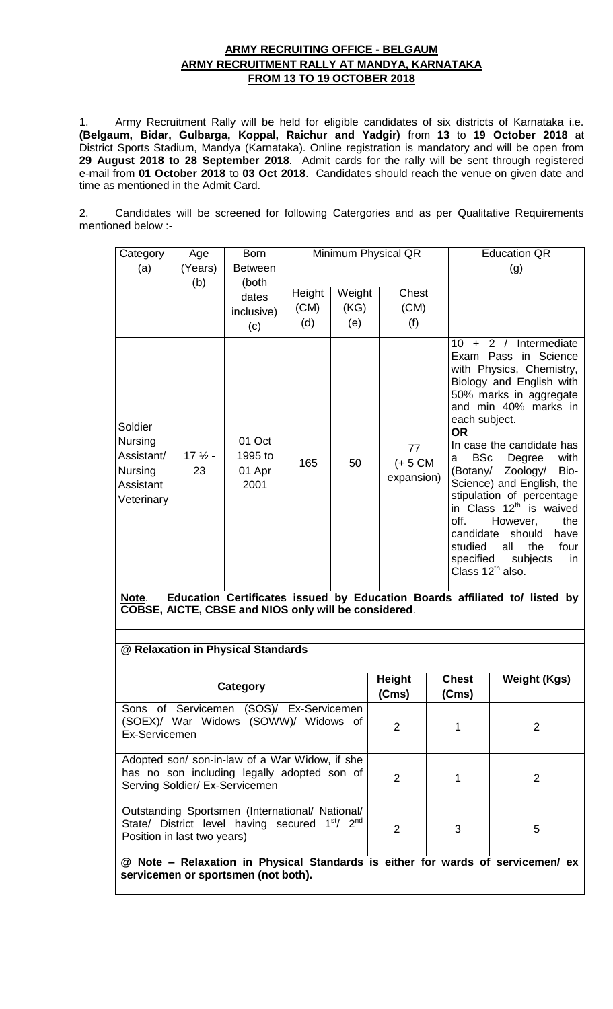# **ARMY RECRUITING OFFICE - BELGAUM ARMY RECRUITMENT RALLY AT MANDYA, KARNATAKA FROM 13 TO 19 OCTOBER 2018**

1. Army Recruitment Rally will be held for eligible candidates of six districts of Karnataka i.e. **(Belgaum, Bidar, Gulbarga, Koppal, Raichur and Yadgir)** from **13** to **19 October 2018** at District Sports Stadium, Mandya (Karnataka). Online registration is mandatory and will be open from **29 August 2018 to 28 September 2018**. Admit cards for the rally will be sent through registered e-mail from **01 October 2018** to **03 Oct 2018**. Candidates should reach the venue on given date and time as mentioned in the Admit Card.

2. Candidates will be screened for following Catergories and as per Qualitative Requirements mentioned below :-

| Category                                                                                                                                                 | Age           | <b>Born</b>                                                                     | Minimum Physical QR |        |                                |                                   | <b>Education QR</b>                                                                                                                                                                                                                                                                                                                                                                                                                                                                                         |  |
|----------------------------------------------------------------------------------------------------------------------------------------------------------|---------------|---------------------------------------------------------------------------------|---------------------|--------|--------------------------------|-----------------------------------|-------------------------------------------------------------------------------------------------------------------------------------------------------------------------------------------------------------------------------------------------------------------------------------------------------------------------------------------------------------------------------------------------------------------------------------------------------------------------------------------------------------|--|
| (a)                                                                                                                                                      | (Years)       | <b>Between</b>                                                                  |                     |        |                                |                                   | (g)                                                                                                                                                                                                                                                                                                                                                                                                                                                                                                         |  |
|                                                                                                                                                          | (b)           | (both                                                                           | Height              | Weight | <b>Chest</b>                   |                                   |                                                                                                                                                                                                                                                                                                                                                                                                                                                                                                             |  |
|                                                                                                                                                          |               | dates                                                                           | (CM)                | (KG)   | (CM)                           |                                   |                                                                                                                                                                                                                                                                                                                                                                                                                                                                                                             |  |
|                                                                                                                                                          |               | inclusive)                                                                      | (d)                 | (e)    | (f)                            |                                   |                                                                                                                                                                                                                                                                                                                                                                                                                                                                                                             |  |
|                                                                                                                                                          |               | (c)                                                                             |                     |        |                                |                                   |                                                                                                                                                                                                                                                                                                                                                                                                                                                                                                             |  |
| Soldier<br>Nursing<br>Assistant/<br>Nursing<br>Assistant<br>Veterinary                                                                                   | $172$ -<br>23 | 01 Oct<br>1995 to<br>01 Apr<br>2001                                             | 165                 | 50     | 77<br>$(+ 5 CM)$<br>expansion) | <b>OR</b><br>a<br>off.<br>studied | Intermediate<br>$10 + 2 /$<br>Exam Pass in Science<br>with Physics, Chemistry,<br>Biology and English with<br>50% marks in aggregate<br>and min 40% marks in<br>each subject.<br>In case the candidate has<br>with<br><b>BSc</b><br>Degree<br>Zoology/<br>Bio-<br>(Botany/<br>Science) and English, the<br>stipulation of percentage<br>in Class 12 <sup>th</sup> is waived<br>However,<br>the<br>candidate<br>should<br>have<br>the<br>four<br>all<br>specified<br>subjects<br>in<br>Class $12^{th}$ also. |  |
| Education Certificates issued by Education Boards affiliated to/ listed by<br>Note.<br>COBSE, AICTE, CBSE and NIOS only will be considered.              |               |                                                                                 |                     |        |                                |                                   |                                                                                                                                                                                                                                                                                                                                                                                                                                                                                                             |  |
|                                                                                                                                                          |               |                                                                                 |                     |        |                                |                                   |                                                                                                                                                                                                                                                                                                                                                                                                                                                                                                             |  |
| @ Relaxation in Physical Standards                                                                                                                       |               |                                                                                 |                     |        |                                |                                   |                                                                                                                                                                                                                                                                                                                                                                                                                                                                                                             |  |
|                                                                                                                                                          |               | <b>Category</b>                                                                 |                     |        | <b>Height</b><br>(Cms)         | <b>Chest</b><br>(Cms)             | <b>Weight (Kgs)</b>                                                                                                                                                                                                                                                                                                                                                                                                                                                                                         |  |
| Ex-Servicemen                                                                                                                                            |               | Sons of Servicemen (SOS)/ Ex-Servicemen<br>(SOEX)/ War Widows (SOWW)/ Widows of |                     |        | 2                              | 1                                 | $\overline{2}$                                                                                                                                                                                                                                                                                                                                                                                                                                                                                              |  |
| Adopted son/ son-in-law of a War Widow, if she<br>has no son including legally adopted son of<br>Serving Soldier/ Ex-Servicemen                          |               |                                                                                 |                     |        | $\overline{2}$                 | 1                                 | $\overline{2}$                                                                                                                                                                                                                                                                                                                                                                                                                                                                                              |  |
| Outstanding Sportsmen (International/ National/<br>State/ District level having secured 1 <sup>st</sup> / 2 <sup>nd</sup><br>Position in last two years) |               |                                                                                 |                     |        | $\overline{2}$                 | 3                                 | 5                                                                                                                                                                                                                                                                                                                                                                                                                                                                                                           |  |
| @ Note - Relaxation in Physical Standards is either for wards of servicemen/ ex<br>servicemen or sportsmen (not both).                                   |               |                                                                                 |                     |        |                                |                                   |                                                                                                                                                                                                                                                                                                                                                                                                                                                                                                             |  |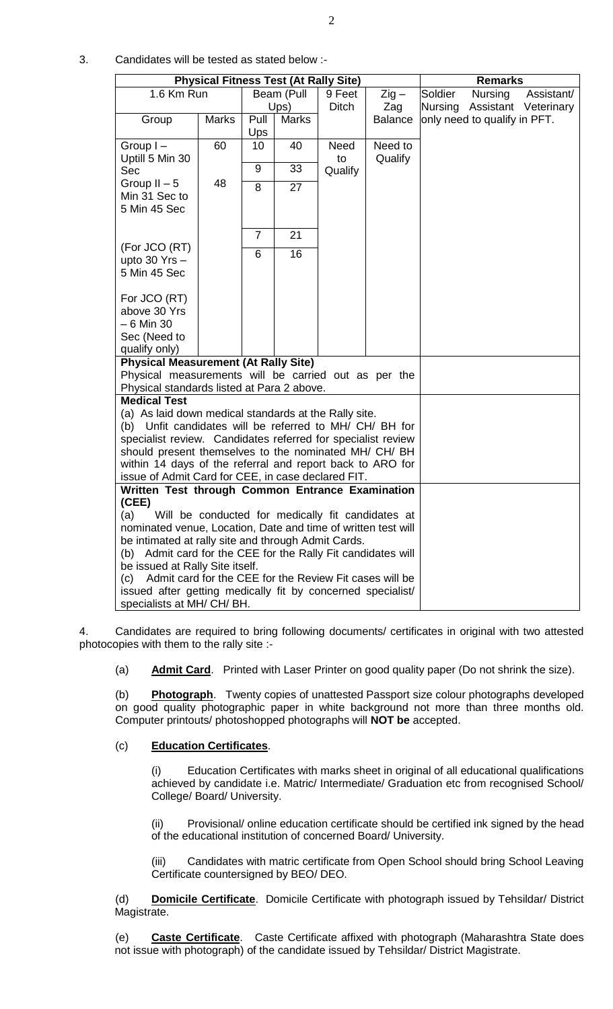3. Candidates will be tested as stated below :-

| <b>Physical Fitness Test (At Rally Site)</b>                   |                                                                                                        |                 |              |         | <b>Remarks</b>      |         |                              |                      |
|----------------------------------------------------------------|--------------------------------------------------------------------------------------------------------|-----------------|--------------|---------|---------------------|---------|------------------------------|----------------------|
| 1.6 Km Run                                                     |                                                                                                        | Beam (Pull      |              | 9 Feet  | $\overline{Z}$ ig – | Soldier | <b>Nursing</b>               | Assistant/           |
|                                                                |                                                                                                        | Ups)            |              | Ditch   | Zag                 | Nursing |                              | Assistant Veterinary |
| Group                                                          | <b>Marks</b>                                                                                           | Pull            | <b>Marks</b> |         | <b>Balance</b>      |         | only need to qualify in PFT. |                      |
|                                                                |                                                                                                        | Ups             |              |         |                     |         |                              |                      |
| Group I-                                                       | 60                                                                                                     | 10 <sup>°</sup> | 40           | Need    | Need to             |         |                              |                      |
| Uptill 5 Min 30                                                |                                                                                                        |                 |              | to      | Qualify             |         |                              |                      |
| Sec                                                            |                                                                                                        | 9               | 33           | Qualify |                     |         |                              |                      |
| Group $II - 5$                                                 | 48                                                                                                     | $\overline{8}$  | 27           |         |                     |         |                              |                      |
| Min 31 Sec to                                                  |                                                                                                        |                 |              |         |                     |         |                              |                      |
| 5 Min 45 Sec                                                   |                                                                                                        |                 |              |         |                     |         |                              |                      |
|                                                                |                                                                                                        |                 |              |         |                     |         |                              |                      |
|                                                                |                                                                                                        | $\overline{7}$  | 21           |         |                     |         |                              |                      |
| (For JCO (RT)<br>upto $30$ Yrs $-$                             |                                                                                                        | 6               | 16           |         |                     |         |                              |                      |
| 5 Min 45 Sec                                                   |                                                                                                        |                 |              |         |                     |         |                              |                      |
|                                                                |                                                                                                        |                 |              |         |                     |         |                              |                      |
| For JCO (RT)                                                   |                                                                                                        |                 |              |         |                     |         |                              |                      |
| above 30 Yrs                                                   |                                                                                                        |                 |              |         |                     |         |                              |                      |
| $-6$ Min 30                                                    |                                                                                                        |                 |              |         |                     |         |                              |                      |
| Sec (Need to                                                   |                                                                                                        |                 |              |         |                     |         |                              |                      |
| qualify only)                                                  |                                                                                                        |                 |              |         |                     |         |                              |                      |
| <b>Physical Measurement (At Rally Site)</b>                    |                                                                                                        |                 |              |         |                     |         |                              |                      |
| Physical measurements will be carried out as per the           |                                                                                                        |                 |              |         |                     |         |                              |                      |
| Physical standards listed at Para 2 above.                     |                                                                                                        |                 |              |         |                     |         |                              |                      |
| <b>Medical Test</b>                                            |                                                                                                        |                 |              |         |                     |         |                              |                      |
| (a) As laid down medical standards at the Rally site.          |                                                                                                        |                 |              |         |                     |         |                              |                      |
| (b) Unfit candidates will be referred to MH/ CH/ BH for        |                                                                                                        |                 |              |         |                     |         |                              |                      |
| specialist review. Candidates referred for specialist review   |                                                                                                        |                 |              |         |                     |         |                              |                      |
| should present themselves to the nominated MH/ CH/ BH          |                                                                                                        |                 |              |         |                     |         |                              |                      |
| within 14 days of the referral and report back to ARO for      |                                                                                                        |                 |              |         |                     |         |                              |                      |
|                                                                | issue of Admit Card for CEE, in case declared FIT.<br>Written Test through Common Entrance Examination |                 |              |         |                     |         |                              |                      |
| (CEE)                                                          |                                                                                                        |                 |              |         |                     |         |                              |                      |
| Will be conducted for medically fit candidates at<br>(a)       |                                                                                                        |                 |              |         |                     |         |                              |                      |
| nominated venue, Location, Date and time of written test will  |                                                                                                        |                 |              |         |                     |         |                              |                      |
| be intimated at rally site and through Admit Cards.            |                                                                                                        |                 |              |         |                     |         |                              |                      |
| (b) Admit card for the CEE for the Rally Fit candidates will   |                                                                                                        |                 |              |         |                     |         |                              |                      |
| be issued at Rally Site itself.                                |                                                                                                        |                 |              |         |                     |         |                              |                      |
| Admit card for the CEE for the Review Fit cases will be<br>(c) |                                                                                                        |                 |              |         |                     |         |                              |                      |
| issued after getting medically fit by concerned specialist/    |                                                                                                        |                 |              |         |                     |         |                              |                      |
| specialists at MH/ CH/ BH.                                     |                                                                                                        |                 |              |         |                     |         |                              |                      |

4. Candidates are required to bring following documents/ certificates in original with two attested photocopies with them to the rally site :-

(a) **Admit Card**. Printed with Laser Printer on good quality paper (Do not shrink the size).

(b) **Photograph**. Twenty copies of unattested Passport size colour photographs developed on good quality photographic paper in white background not more than three months old. Computer printouts/ photoshopped photographs will **NOT be** accepted.

#### (c) **Education Certificates**.

(i) Education Certificates with marks sheet in original of all educational qualifications achieved by candidate i.e. Matric/ Intermediate/ Graduation etc from recognised School/ College/ Board/ University.

(ii) Provisional/ online education certificate should be certified ink signed by the head of the educational institution of concerned Board/ University.

(iii) Candidates with matric certificate from Open School should bring School Leaving Certificate countersigned by BEO/ DEO.

(d) **Domicile Certificate**. Domicile Certificate with photograph issued by Tehsildar/ District Magistrate.

(e) **Caste Certificate**. Caste Certificate affixed with photograph (Maharashtra State does not issue with photograph) of the candidate issued by Tehsildar/ District Magistrate.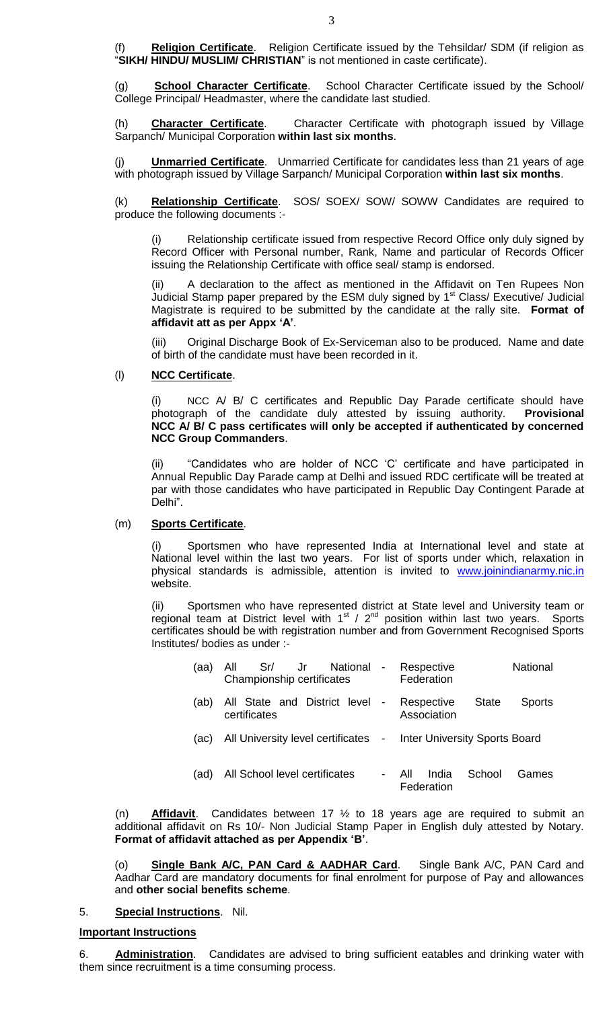(f) **Religion Certificate**. Religion Certificate issued by the Tehsildar/ SDM (if religion as "**SIKH/ HINDU/ MUSLIM/ CHRISTIAN**" is not mentioned in caste certificate).

(g) **School Character Certificate**. School Character Certificate issued by the School/ College Principal/ Headmaster, where the candidate last studied.

(h) **Character Certificate**. Character Certificate with photograph issued by Village Sarpanch/ Municipal Corporation **within last six months**.

(j) **Unmarried Certificate**. Unmarried Certificate for candidates less than 21 years of age with photograph issued by Village Sarpanch/ Municipal Corporation **within last six months**.

(k) **Relationship Certificate**. SOS/ SOEX/ SOW/ SOWW Candidates are required to produce the following documents :-

Relationship certificate issued from respective Record Office only duly signed by Record Officer with Personal number, Rank, Name and particular of Records Officer issuing the Relationship Certificate with office seal/ stamp is endorsed.

A declaration to the affect as mentioned in the Affidavit on Ten Rupees Non Judicial Stamp paper prepared by the ESM duly signed by 1<sup>st</sup> Class/ Executive/ Judicial Magistrate is required to be submitted by the candidate at the rally site. **Format of affidavit att as per Appx 'A'**.

(iii) Original Discharge Book of Ex-Serviceman also to be produced. Name and date of birth of the candidate must have been recorded in it.

### (l) **NCC Certificate**.

(i) NCC A/ B/ C certificates and Republic Day Parade certificate should have photograph of the candidate duly attested by issuing authority. **Provisional NCC A/ B/ C pass certificates will only be accepted if authenticated by concerned NCC Group Commanders**.

(ii) "Candidates who are holder of NCC "C" certificate and have participated in Annual Republic Day Parade camp at Delhi and issued RDC certificate will be treated at par with those candidates who have participated in Republic Day Contingent Parade at Delhi".

#### (m) **Sports Certificate**.

(i) Sportsmen who have represented India at International level and state at National level within the last two years. For list of sports under which, relaxation in physical standards is admissible, attention is invited to [www.joinindianarmy.nic.in](http://www.joinindianarmy.nic.in/) website.

(ii) Sportsmen who have represented district at State level and University team or regional team at District level with  $1<sup>st</sup>$  /  $2<sup>nd</sup>$  position within last two years. Sports certificates should be with registration number and from Government Recognised Sports Institutes/ bodies as under :-

| (aa) | Sr/<br>National -<br>Jr s<br>All<br>Championship certificates |                                                            | <b>National</b><br>Respective<br>Federation   |  |  |  |
|------|---------------------------------------------------------------|------------------------------------------------------------|-----------------------------------------------|--|--|--|
| (ab) | All State and District level -<br>certificates                | <b>State</b><br><b>Sports</b><br>Respective<br>Association |                                               |  |  |  |
| (ac) | All University level certificates -                           |                                                            | <b>Inter University Sports Board</b>          |  |  |  |
| (ad) | All School level certificates                                 |                                                            | India<br>School<br>All<br>Games<br>Federation |  |  |  |

(n) **Affidavit**. Candidates between 17 ½ to 18 years age are required to submit an additional affidavit on Rs 10/- Non Judicial Stamp Paper in English duly attested by Notary. **Format of affidavit attached as per Appendix 'B'**.

(o) **Single Bank A/C, PAN Card & AADHAR Card**. Single Bank A/C, PAN Card and Aadhar Card are mandatory documents for final enrolment for purpose of Pay and allowances and **other social benefits scheme**.

#### 5. **Special Instructions**. Nil.

## **Important Instructions**

6. **Administration**. Candidates are advised to bring sufficient eatables and drinking water with them since recruitment is a time consuming process.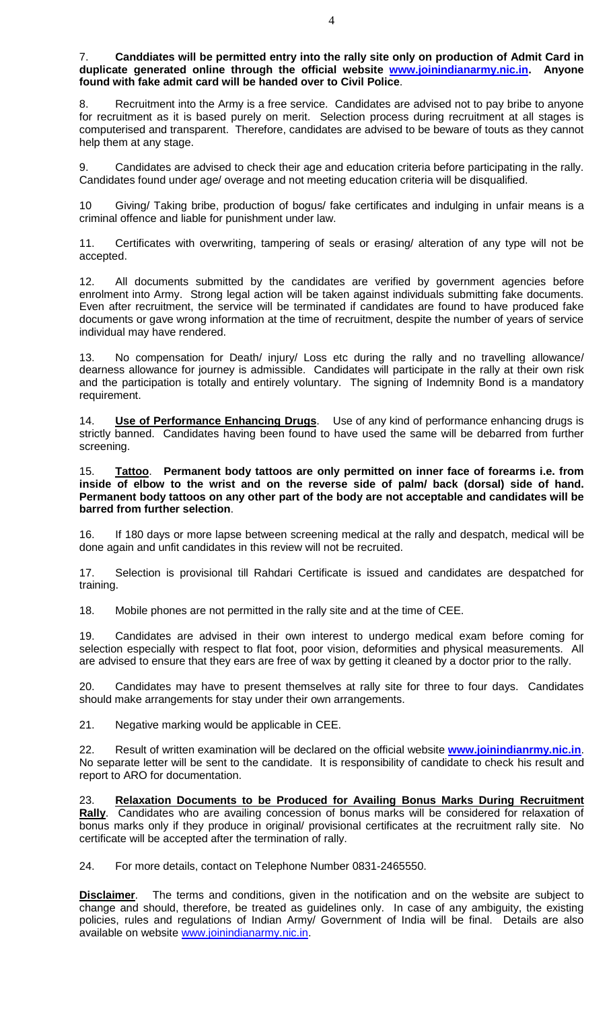7. **Canddiates will be permitted entry into the rally site only on production of Admit Card in duplicate generated online through the official website [www.joinindianarmy.nic.in.](http://www.joinindianarmy.nic.in/) Anyone found with fake admit card will be handed over to Civil Police**.

Recruitment into the Army is a free service. Candidates are advised not to pay bribe to anyone for recruitment as it is based purely on merit. Selection process during recruitment at all stages is computerised and transparent. Therefore, candidates are advised to be beware of touts as they cannot help them at any stage.

9. Candidates are advised to check their age and education criteria before participating in the rally. Candidates found under age/ overage and not meeting education criteria will be disqualified.

10 Giving/ Taking bribe, production of bogus/ fake certificates and indulging in unfair means is a criminal offence and liable for punishment under law.

11. Certificates with overwriting, tampering of seals or erasing/ alteration of any type will not be accepted.

12. All documents submitted by the candidates are verified by government agencies before enrolment into Army. Strong legal action will be taken against individuals submitting fake documents. Even after recruitment, the service will be terminated if candidates are found to have produced fake documents or gave wrong information at the time of recruitment, despite the number of years of service individual may have rendered.

13. No compensation for Death/ injury/ Loss etc during the rally and no travelling allowance/ dearness allowance for journey is admissible. Candidates will participate in the rally at their own risk and the participation is totally and entirely voluntary. The signing of Indemnity Bond is a mandatory requirement.

14. **Use of Performance Enhancing Drugs**. Use of any kind of performance enhancing drugs is strictly banned. Candidates having been found to have used the same will be debarred from further screening.

15. **Tattoo**. **Permanent body tattoos are only permitted on inner face of forearms i.e. from inside of elbow to the wrist and on the reverse side of palm/ back (dorsal) side of hand. Permanent body tattoos on any other part of the body are not acceptable and candidates will be barred from further selection**.

16. If 180 days or more lapse between screening medical at the rally and despatch, medical will be done again and unfit candidates in this review will not be recruited.

17. Selection is provisional till Rahdari Certificate is issued and candidates are despatched for training.

18. Mobile phones are not permitted in the rally site and at the time of CEE.

19. Candidates are advised in their own interest to undergo medical exam before coming for selection especially with respect to flat foot, poor vision, deformities and physical measurements. All are advised to ensure that they ears are free of wax by getting it cleaned by a doctor prior to the rally.

20. Candidates may have to present themselves at rally site for three to four days. Candidates should make arrangements for stay under their own arrangements.

21. Negative marking would be applicable in CEE.

22. Result of written examination will be declared on the official website **[www.joinindianrmy.nic.in](http://www.joinindianrmy.nic.in/)**. No separate letter will be sent to the candidate. It is responsibility of candidate to check his result and report to ARO for documentation.

23. **Relaxation Documents to be Produced for Availing Bonus Marks During Recruitment Rally**. Candidates who are availing concession of bonus marks will be considered for relaxation of bonus marks only if they produce in original/ provisional certificates at the recruitment rally site. No certificate will be accepted after the termination of rally.

24. For more details, contact on Telephone Number 0831-2465550.

**Disclaimer**. The terms and conditions, given in the notification and on the website are subject to change and should, therefore, be treated as guidelines only. In case of any ambiguity, the existing policies, rules and regulations of Indian Army/ Government of India will be final. Details are also available on website [www.joinindianarmy.nic.in.](http://www.joinindianarmy.nic.in/)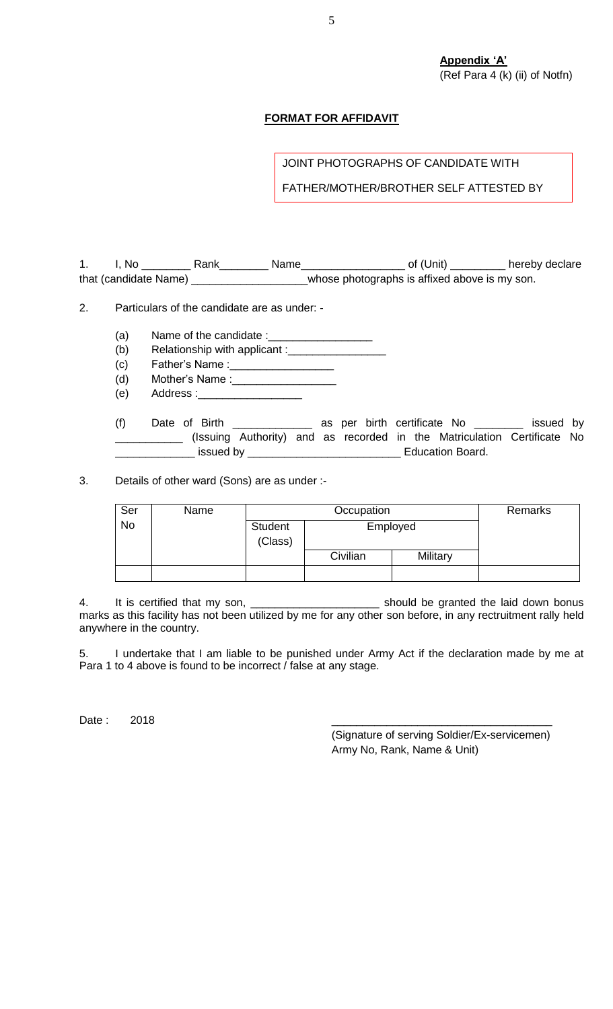**Appendix 'A'** (Ref Para 4 (k) (ii) of Notfn)

### **FORMAT FOR AFFIDAVIT**

JOINT PHOTOGRAPHS OF CANDIDATE WITH

FATHER/MOTHER/BROTHER SELF ATTESTED BY

1. I, No \_\_\_\_\_\_\_\_\_\_ Rank\_\_\_\_\_\_\_\_\_ Name\_\_\_\_\_\_\_\_\_\_\_\_\_\_\_\_\_\_\_\_ of (Unit) \_\_\_\_\_\_\_\_\_\_ hereby declare that (candidate Name) \_\_\_\_\_\_\_\_\_\_\_\_\_\_\_\_\_\_\_\_\_whose photographs is affixed above is my son.

2. Particulars of the candidate are as under: -

- (a) Name of the candidate  $:=$
- $(b)$  Relationship with applicant :
- (c) Father"s Name :\_\_\_\_\_\_\_\_\_\_\_\_\_\_\_\_\_
- (d) Mother's Name :
- (e) Address :\_\_\_\_\_\_\_\_\_\_\_\_\_\_\_\_\_

(f) Date of Birth \_\_\_\_\_\_\_\_\_\_\_\_\_ as per birth certificate No \_\_\_\_\_\_\_\_ issued by \_\_\_\_\_\_\_\_\_\_\_ (Issuing Authority) and as recorded in the Matriculation Certificate No \_\_\_\_\_\_\_\_\_\_\_\_\_ issued by \_\_\_\_\_\_\_\_\_\_\_\_\_\_\_\_\_\_\_\_\_\_\_\_\_ Education Board.

3. Details of other ward (Sons) are as under :-

| Ser       | Name |                    | Remarks  |          |  |
|-----------|------|--------------------|----------|----------|--|
| <b>No</b> |      | Student<br>(Class) | Employed |          |  |
|           |      |                    | Civilian | Military |  |
|           |      |                    |          |          |  |

4. It is certified that my son, \_\_\_\_\_\_\_\_\_\_\_\_\_\_\_\_\_\_\_\_\_ should be granted the laid down bonus marks as this facility has not been utilized by me for any other son before, in any rectruitment rally held anywhere in the country.

5. I undertake that I am liable to be punished under Army Act if the declaration made by me at Para 1 to 4 above is found to be incorrect / false at any stage.

Date : 2018 \_\_\_\_\_\_\_\_\_\_\_\_\_\_\_\_\_\_\_\_\_\_\_\_\_\_\_\_\_\_\_\_\_\_\_\_

(Signature of serving Soldier/Ex-servicemen) Army No, Rank, Name & Unit)